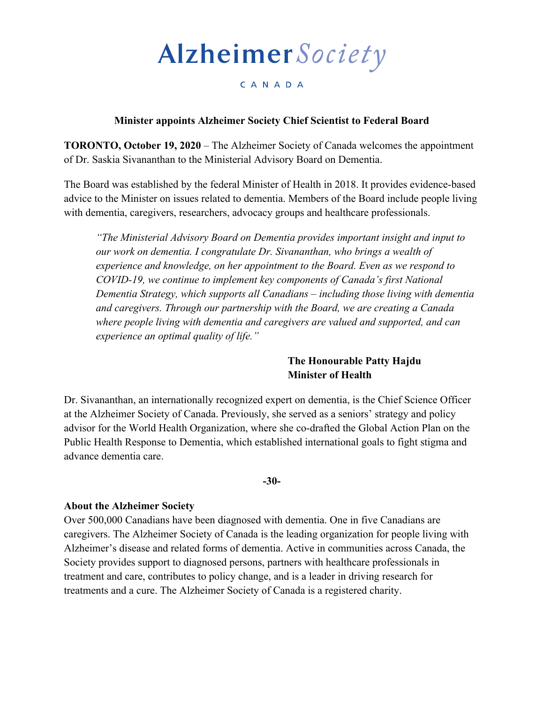# Alzheimer Society

## CANADA

## **Minister appoints Alzheimer Society Chief Scientist to Federal Board**

**TORONTO, October 19, 2020** – The Alzheimer Society of Canada welcomes the appointment of Dr. Saskia Sivananthan to the Ministerial Advisory Board on Dementia.

The Board was established by the federal Minister of Health in 2018. It provides evidence-based advice to the Minister on issues related to dementia. Members of the Board include people living with dementia, caregivers, researchers, advocacy groups and healthcare professionals.

*"The Ministerial Advisory Board on Dementia provides important insight and input to our work on dementia. I congratulate Dr. Sivananthan, who brings a wealth of experience and knowledge, on her appointment to the Board. Even as we respond to COVID-19, we continue to implement key components of Canada's first National Dementia Strategy, which supports all Canadians – including those living with dementia and caregivers. Through our partnership with the Board, we are creating a Canada where people living with dementia and caregivers are valued and supported, and can experience an optimal quality of life."* 

## **The Honourable Patty Hajdu Minister of Health**

Dr. Sivananthan, an internationally recognized expert on dementia, is the Chief Science Officer at the Alzheimer Society of Canada. Previously, she served as a seniors' strategy and policy advisor for the World Health Organization, where she co-drafted the Global Action Plan on the Public Health Response to Dementia, which established international goals to fight stigma and advance dementia care.

#### **-30-**

### **About the Alzheimer Society**

Over 500,000 Canadians have been diagnosed with dementia. One in five Canadians are caregivers. The Alzheimer Society of Canada is the leading organization for people living with Alzheimer's disease and related forms of dementia. Active in communities across Canada, the Society provides support to diagnosed persons, partners with healthcare professionals in treatment and care, contributes to policy change, and is a leader in driving research for treatments and a cure. The Alzheimer Society of Canada is a registered charity.